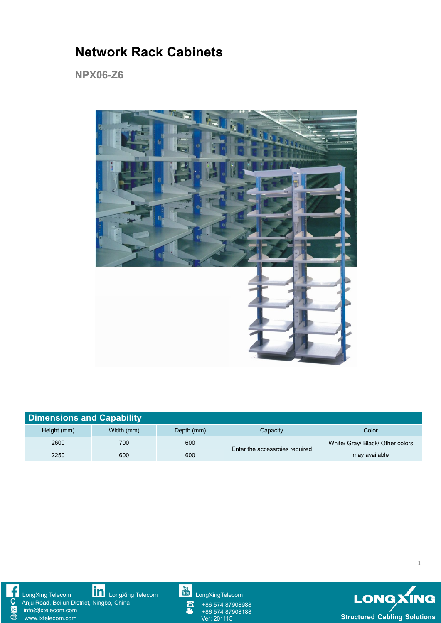## **Network Rack Cabinets**

**NPX06-Z6**



| <b>Dimensions and Capability</b> |            |            |                                |                                  |
|----------------------------------|------------|------------|--------------------------------|----------------------------------|
| Height (mm)                      | Width (mm) | Depth (mm) | Capacity                       | Color                            |
| 2600                             | 700        | 600        | Enter the accessroies required | White/ Gray/ Black/ Other colors |
| 2250                             | 600        | 600        |                                | may available                    |



[LongXing](https://www.linkedin.com/company/longxing-telecom) Telecom **LONE LongXing Telecom [LongXingTelecom](https://www.youtube.com/user/LongXingTelecom)** LongXingTelecom LongXing Telecom

Anju Road, Beilun District, Ningbo, China info@lxtelecom.com

[www.lxtelecom.com](http://www.lxtelecom.com/)



+86 574 87908988 +86 574 87908188